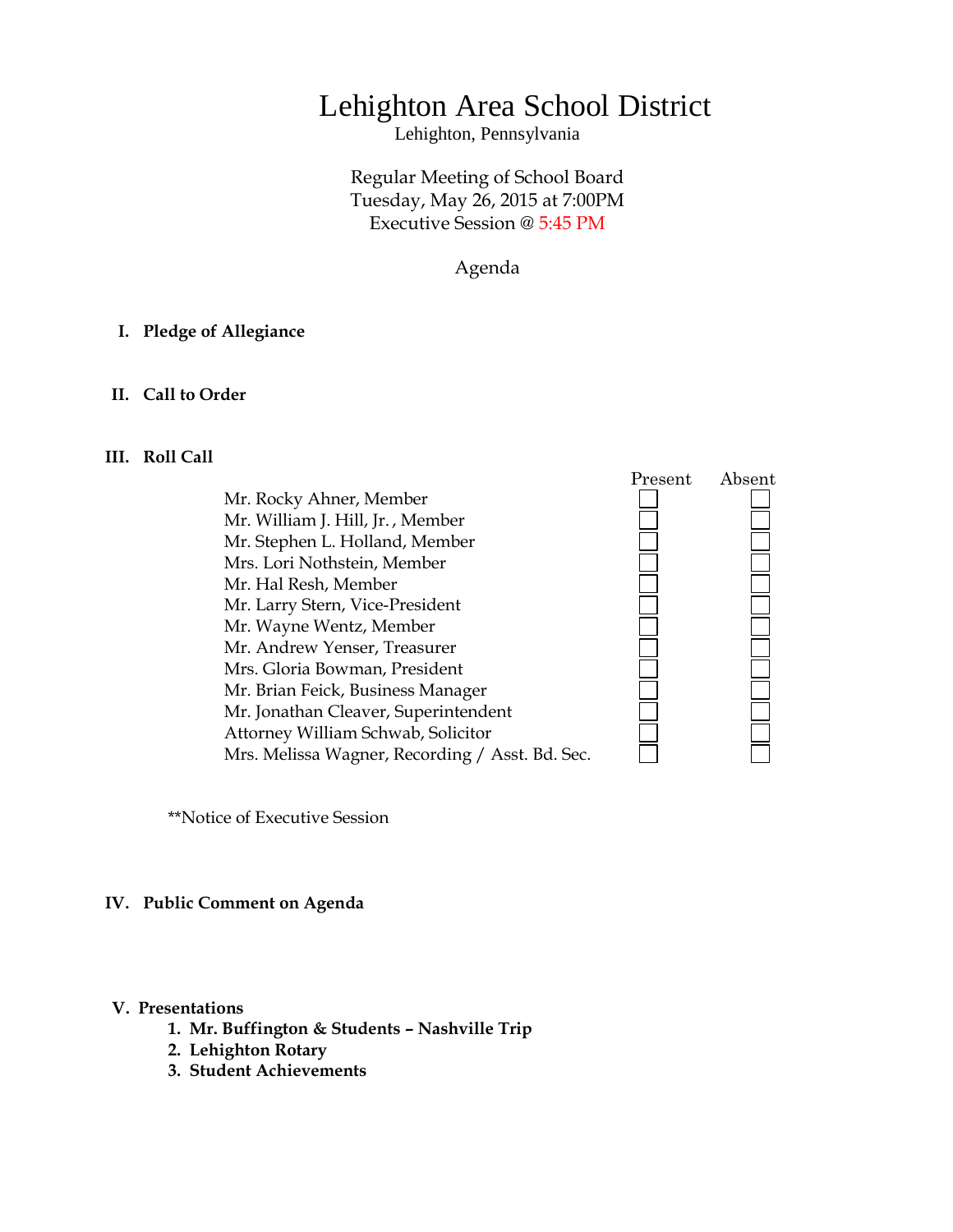# Lehighton Area School District

Lehighton, Pennsylvania

# Regular Meeting of School Board Tuesday, May 26, 2015 at 7:00PM Executive Session @ 5:45 PM

Agenda

# **I. Pledge of Allegiance**

#### **II. Call to Order**

# **III. Roll Call**

Mr. Rocky Ahner, Member Mr. William J. Hill, Jr. , Member Mr. Stephen L. Holland, Member Mrs. Lori Nothstein, Member Mr. Hal Resh, Member Mr. Larry Stern, Vice-President Mr. Wayne Wentz, Member Mr. Andrew Yenser, Treasurer Mrs. Gloria Bowman, President Mr. Brian Feick, Business Manager Mr. Jonathan Cleaver, Superintendent Attorney William Schwab, Solicitor Mrs. Melissa Wagner, Recording / Asst. Bd. Sec.



\*\*Notice of Executive Session

#### **IV. Public Comment on Agenda**

#### **V. Presentations**

- **1. Mr. Buffington & Students – Nashville Trip**
- **2. Lehighton Rotary**
- **3. Student Achievements**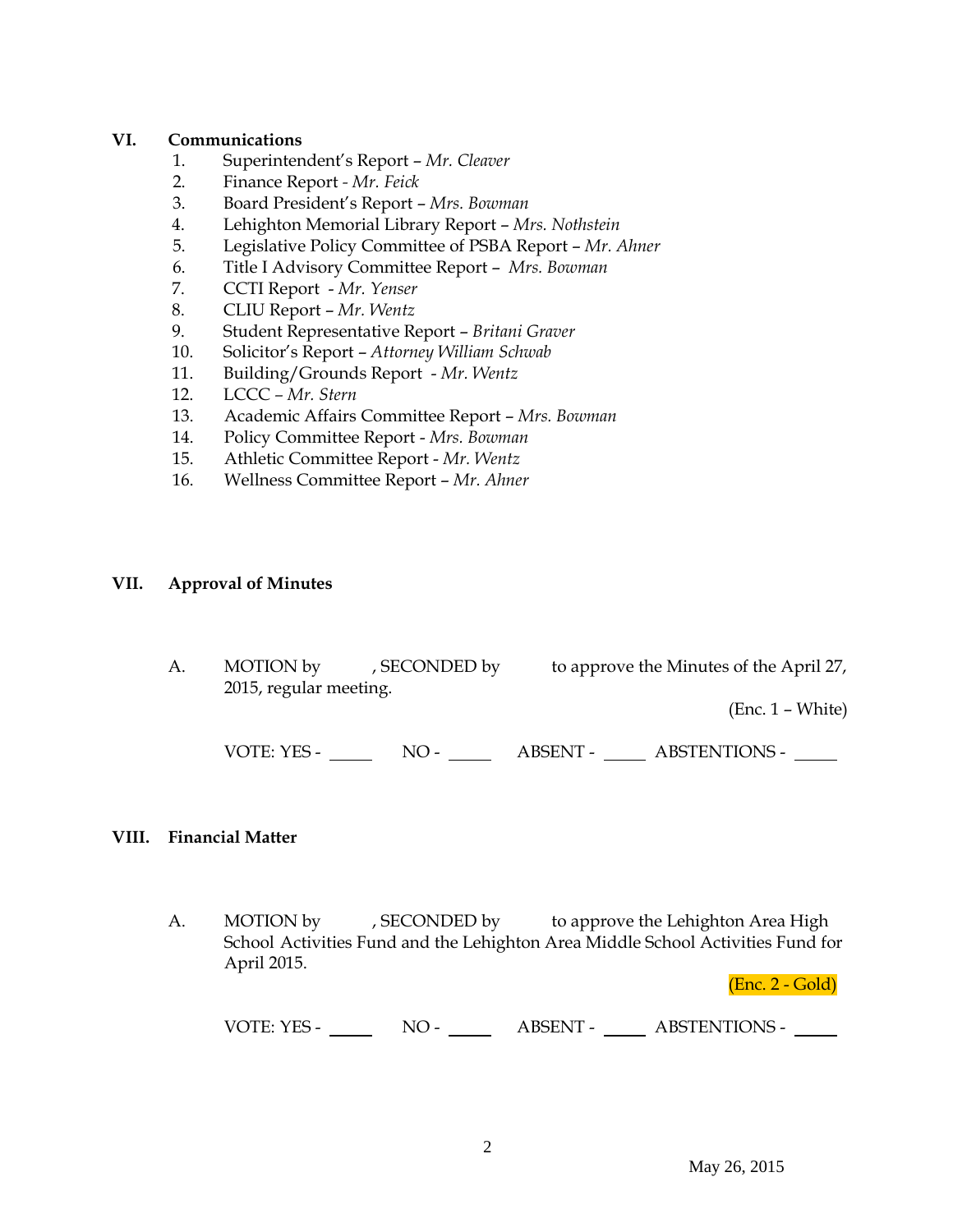# **VI. Communications**

- 1. Superintendent's Report *Mr. Cleaver*
- 2. Finance Report *- Mr. Feick*
- 3. Board President's Report *Mrs. Bowman*
- 4. Lehighton Memorial Library Report *Mrs. Nothstein*
- 5. Legislative Policy Committee of PSBA Report *Mr. Ahner*
- 6. Title I Advisory Committee Report *Mrs. Bowman*
- 7. CCTI Report *Mr. Yenser*
- 8. CLIU Report *Mr. Wentz*
- 9. Student Representative Report *Britani Graver*
- 10. Solicitor's Report *Attorney William Schwab*
- 11. Building/Grounds Report *Mr. Wentz*
- 12. LCCC *– Mr. Stern*
- 13. Academic Affairs Committee Report *Mrs. Bowman*
- 14. Policy Committee Report *Mrs. Bowman*
- 15. Athletic Committee Report *Mr. Wentz*
- 16. Wellness Committee Report *Mr. Ahner*

# **VII. Approval of Minutes**

| to approve the Minutes of the April 27, | , SECONDED by | MOTION by<br>2015, regular meeting. | Α. |
|-----------------------------------------|---------------|-------------------------------------|----|
| $(Enc. 1 - White)$                      |               |                                     |    |
| <b>ABSTENTIONS -</b><br>ABSENT -        | $NO-$         | VOTE: YES -                         |    |

# **VIII. Financial Matter**

A. MOTION by , SECONDED by to approve the Lehighton Area High School Activities Fund and the Lehighton Area Middle School Activities Fund for April 2015.

(Enc. 2 - Gold)

| VOTE: YES - | $NO -$ | <b>ABSENT -</b> | <b>ABSTENTIONS -</b> |  |
|-------------|--------|-----------------|----------------------|--|
|-------------|--------|-----------------|----------------------|--|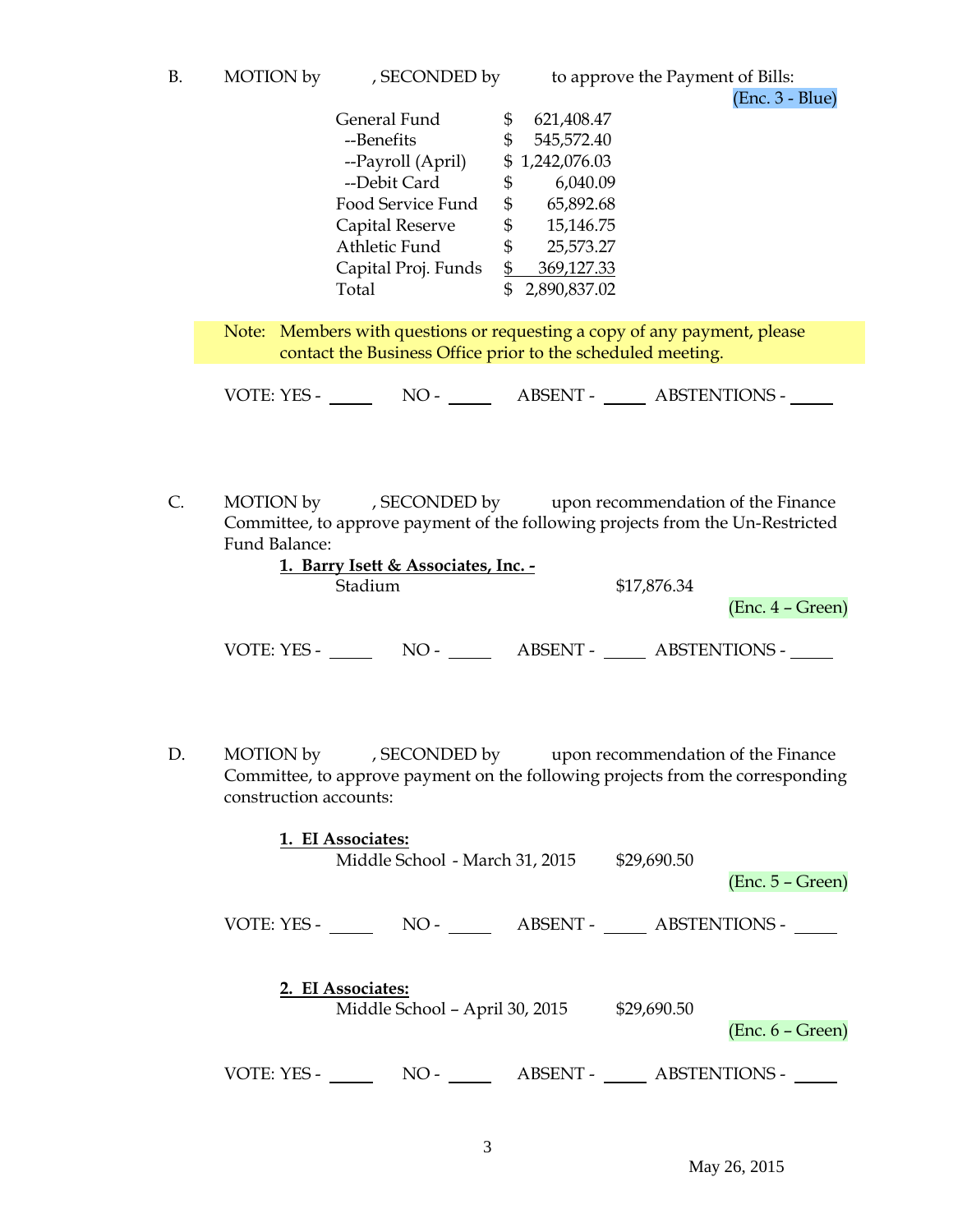| B | <b>MOTION</b> by | , SECONDED by |
|---|------------------|---------------|
|   |                  |               |

| General Fund        | 621,408.47<br>S  |
|---------------------|------------------|
| --Benefits          | 545,572.40<br>\$ |
| --Payroll (April)   | \$1,242,076.03   |
| --Debit Card        | 6,040.09<br>\$   |
| Food Service Fund   | 65,892.68<br>\$  |
| Capital Reserve     | 15,146.75<br>\$  |
| Athletic Fund       | 25,573.27<br>\$  |
| Capital Proj. Funds | 369,127.33<br>\$ |
| Total               | 2,890,837.02     |
|                     |                  |

Note: Members with questions or requesting a copy of any payment, please contact the Business Office prior to the scheduled meeting.

VOTE: YES - NO - ABSENT - ABSTENTIONS -

C. MOTION by , SECONDED by upon recommendation of the Finance Committee, to approve payment of the following projects from the Un-Restricted Fund Balance:

|             | 1. Barry Isett & Associates, Inc. - |                 |             |                      |
|-------------|-------------------------------------|-----------------|-------------|----------------------|
|             | Stadium                             |                 | \$17,876.34 |                      |
|             |                                     |                 |             | $(Enc. 4 - Green)$   |
| VOTE: YES - | NO -                                | <b>ABSENT -</b> |             | <b>ABSTENTIONS -</b> |

D. MOTION by , SECONDED by upon recommendation of the Finance Committee, to approve payment on the following projects from the corresponding construction accounts:

|             | 1. EI Associates: | Middle School - March 31, 2015 |                        | \$29,690.50 | $(Enc. 5 - Green)$   |  |
|-------------|-------------------|--------------------------------|------------------------|-------------|----------------------|--|
| VOTE: YES - |                   | $NO-$                          | ABSENT - ABSTENTIONS - |             |                      |  |
|             | 2. EI Associates: | Middle School - April 30, 2015 |                        | \$29,690.50 | $(Enc. 6 - Green)$   |  |
| VOTE: YES - |                   | $NO -$                         | ABSENT -               |             | <b>ABSTENTIONS -</b> |  |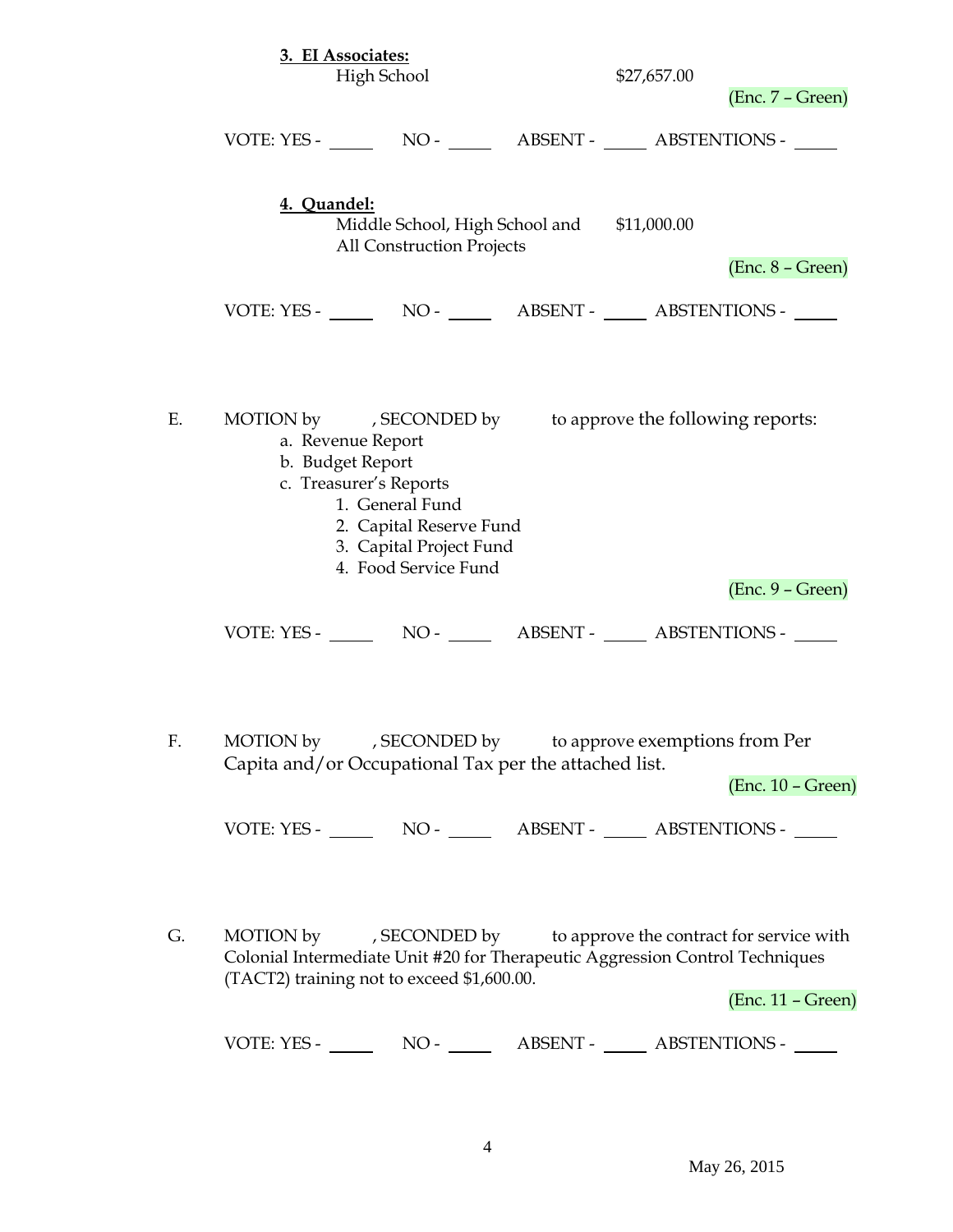|    |             | 3. EI Associates:<br>High School                                                                                                                                 | \$27,657.00                                                                                                                                      | $(Enc. 7 - Green)$  |
|----|-------------|------------------------------------------------------------------------------------------------------------------------------------------------------------------|--------------------------------------------------------------------------------------------------------------------------------------------------|---------------------|
|    |             |                                                                                                                                                                  | VOTE: YES - NO - NO - ABSENT - ABSTENTIONS -                                                                                                     |                     |
|    | 4. Quandel: | All Construction Projects                                                                                                                                        | Middle School, High School and \$11,000.00                                                                                                       | $(Enc. 8 - Green)$  |
|    |             |                                                                                                                                                                  |                                                                                                                                                  |                     |
| Е. |             | a. Revenue Report<br>b. Budget Report<br>c. Treasurer's Reports<br>1. General Fund<br>2. Capital Reserve Fund<br>3. Capital Project Fund<br>4. Food Service Fund | MOTION by , SECONDED by to approve the following reports:                                                                                        |                     |
|    |             |                                                                                                                                                                  |                                                                                                                                                  | $(Enc. 9 - Green)$  |
| F. |             | Capita and/or Occupational Tax per the attached list.                                                                                                            | MOTION by , SECONDED by to approve exemptions from Per                                                                                           | $(Enc. 10 - Green)$ |
|    |             |                                                                                                                                                                  |                                                                                                                                                  |                     |
| G. |             | (TACT2) training not to exceed \$1,600.00.                                                                                                                       | MOTION by , SECONDED by to approve the contract for service with<br>Colonial Intermediate Unit #20 for Therapeutic Aggression Control Techniques | $(Enc. 11 - Green)$ |
|    |             |                                                                                                                                                                  | VOTE: YES - NO - NO - ABSENT - ABSTENTIONS -                                                                                                     |                     |

May 26, 2015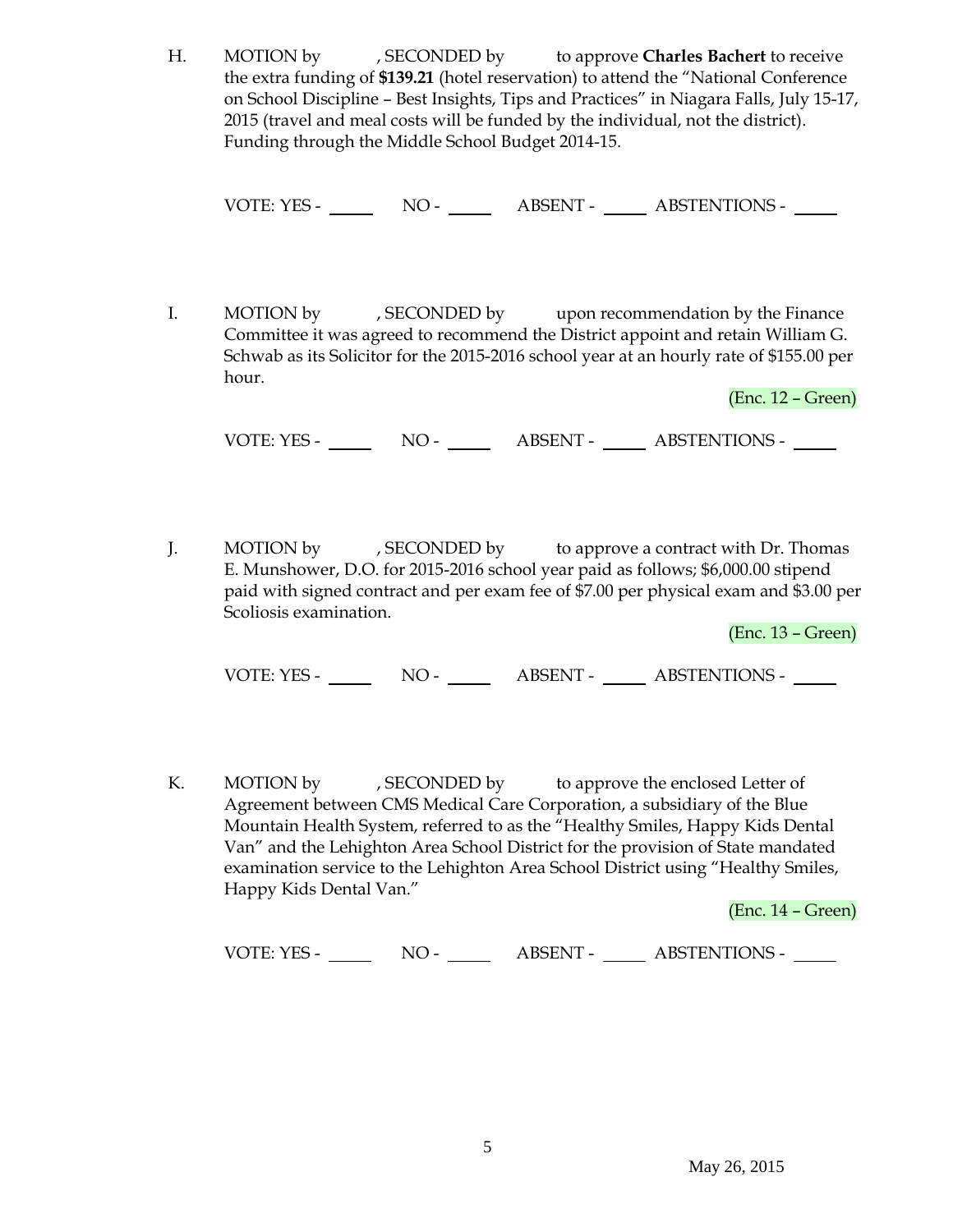H. MOTION by , SECONDED by to approve **Charles Bachert** to receive the extra funding of **\$139.21** (hotel reservation) to attend the "National Conference on School Discipline – Best Insights, Tips and Practices" in Niagara Falls, July 15-17, 2015 (travel and meal costs will be funded by the individual, not the district). Funding through the Middle School Budget 2014-15.

VOTE: YES - NO - ABSENT - ABSTENTIONS -

I. MOTION by , SECONDED by upon recommendation by the Finance Committee it was agreed to recommend the District appoint and retain William G. Schwab as its Solicitor for the 2015-2016 school year at an hourly rate of \$155.00 per hour.

(Enc. 12 – Green)

VOTE: YES - NO - NO - ABSENT - ABSTENTIONS -

J. MOTION by , SECONDED by to approve a contract with Dr. Thomas E. Munshower, D.O. for 2015-2016 school year paid as follows; \$6,000.00 stipend paid with signed contract and per exam fee of \$7.00 per physical exam and \$3.00 per Scoliosis examination.

(Enc. 13 – Green)

VOTE: YES - NO - ABSENT - ABSTENTIONS -

K. MOTION by , SECONDED by to approve the enclosed Letter of Agreement between CMS Medical Care Corporation, a subsidiary of the Blue Mountain Health System, referred to as the "Healthy Smiles, Happy Kids Dental Van" and the Lehighton Area School District for the provision of State mandated examination service to the Lehighton Area School District using "Healthy Smiles, Happy Kids Dental Van."

(Enc. 14 – Green)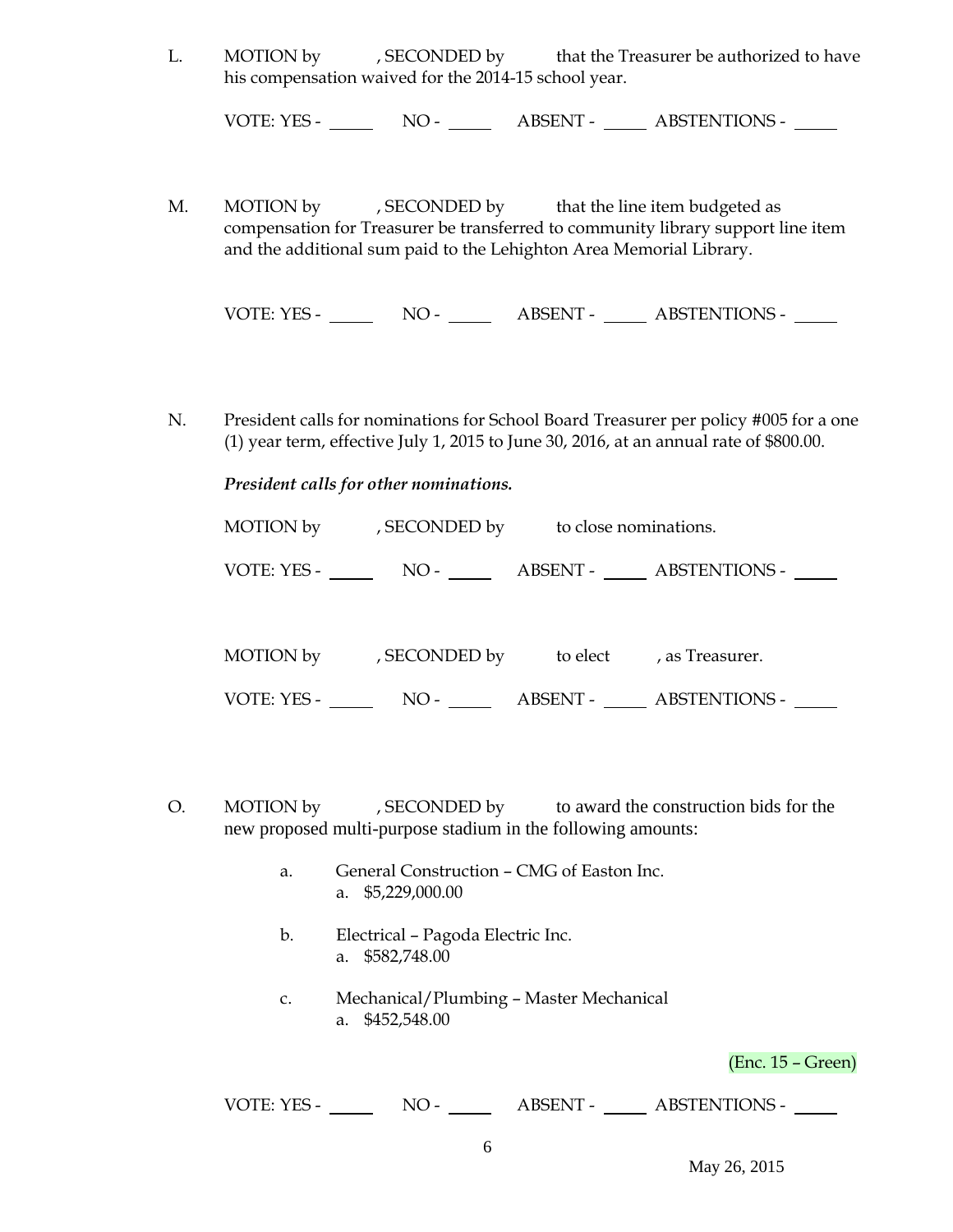L. MOTION by , SECONDED by that the Treasurer be authorized to have his compensation waived for the 2014-15 school year.

VOTE: YES - NO - ABSENT - ABSTENTIONS -

M. MOTION by , SECONDED by that the line item budgeted as compensation for Treasurer be transferred to community library support line item and the additional sum paid to the Lehighton Area Memorial Library.

VOTE: YES - NO - ABSENT - ABSTENTIONS -

N. President calls for nominations for School Board Treasurer per policy #005 for a one (1) year term, effective July 1, 2015 to June 30, 2016, at an annual rate of \$800.00.

# *President calls for other nominations.*

| MOTION by   | , SECONDED by | to close nominations. |                      |
|-------------|---------------|-----------------------|----------------------|
| VOTE: YES - | $NO-$         | ABSENT -              | <b>ABSTENTIONS -</b> |

| MOTION by   | , SECONDED by | to elect | , as Treasurer.      |  |
|-------------|---------------|----------|----------------------|--|
| VOTE: YES - | $NO-$         | ABSENT - | <b>ABSTENTIONS -</b> |  |

- O. MOTION by , SECONDED by to award the construction bids for the new proposed multi-purpose stadium in the following amounts:
	- a. General Construction CMG of Easton Inc. a. \$5,229,000.00
	- b. Electrical Pagoda Electric Inc. a. \$582,748.00
	- c. Mechanical/Plumbing Master Mechanical a. \$452,548.00

(Enc. 15 – Green)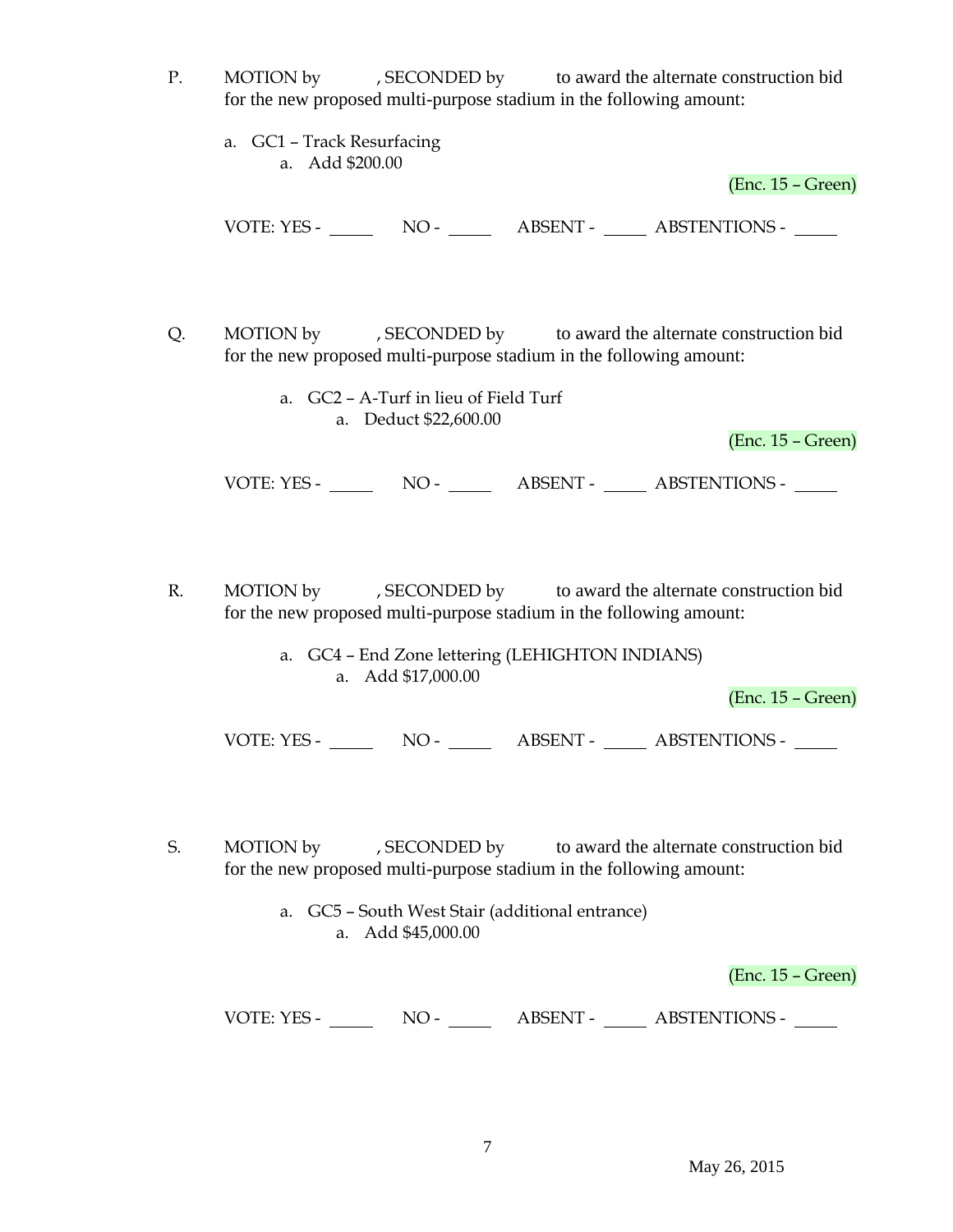- P. MOTION by , SECONDED by to award the alternate construction bid for the new proposed multi-purpose stadium in the following amount:
	- a. GC1 Track Resurfacing a. Add \$200.00

(Enc. 15 – Green)

VOTE: YES - NO - NO - ABSENT - ABSTENTIONS -

Q. MOTION by , SECONDED by to award the alternate construction bid for the new proposed multi-purpose stadium in the following amount:

> a. GC2 – A-Turf in lieu of Field Turf a. Deduct \$22,600.00

> > (Enc. 15 – Green)

VOTE: YES - NO - NO - ABSENT - ABSTENTIONS -

- R. MOTION by , SECONDED by to award the alternate construction bid for the new proposed multi-purpose stadium in the following amount:
	- a. GC4 End Zone lettering (LEHIGHTON INDIANS) a. Add \$17,000.00

(Enc. 15 – Green)

VOTE: YES - NO - NO - ABSENT - ABSTENTIONS -

S. MOTION by , SECONDED by to award the alternate construction bid for the new proposed multi-purpose stadium in the following amount:

> a. GC5 – South West Stair (additional entrance) a. Add \$45,000.00

> > (Enc. 15 – Green)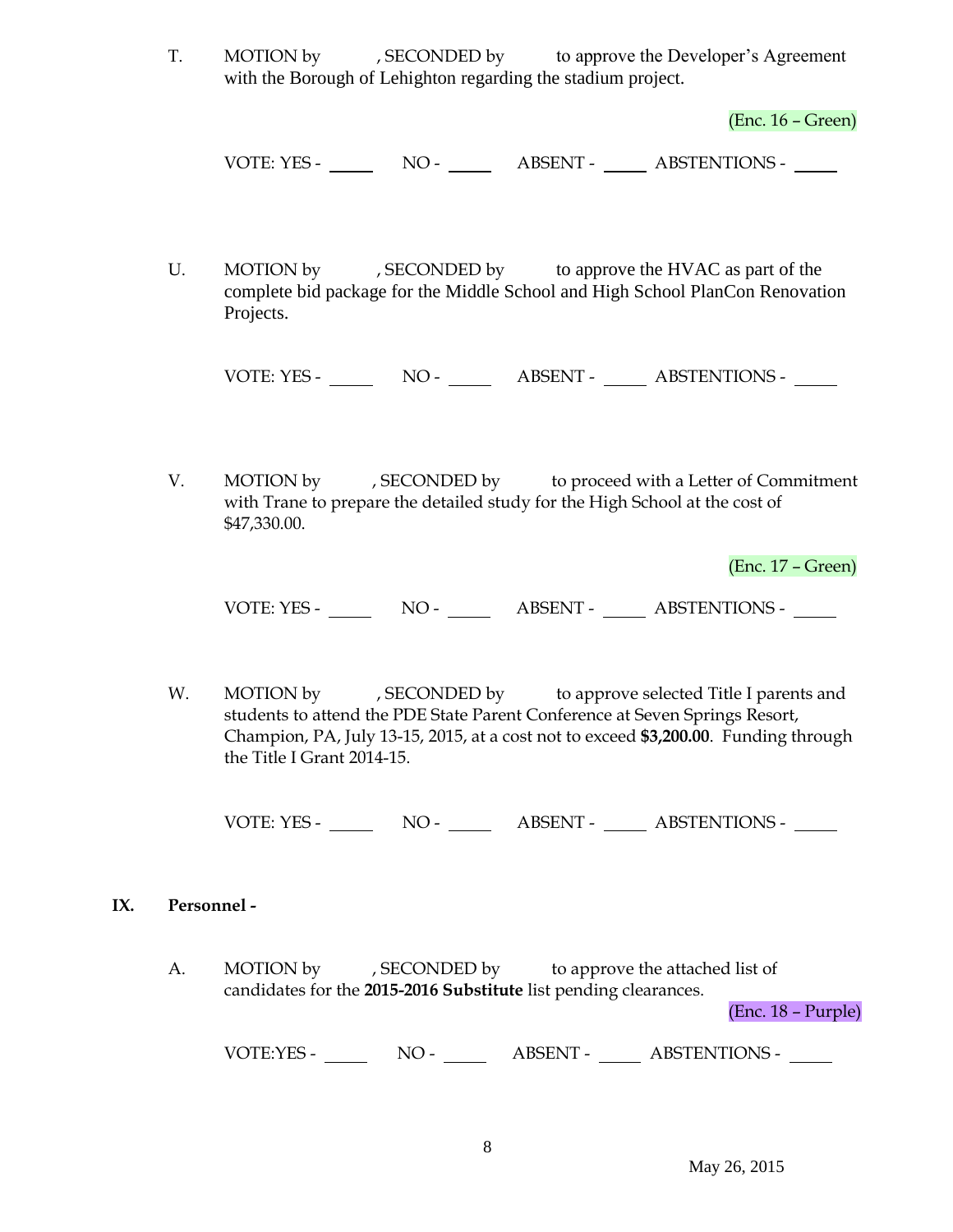T. MOTION by , SECONDED by to approve the Developer's Agreement with the Borough of Lehighton regarding the stadium project.

(Enc. 16 – Green)

VOTE: YES - NO - NO - ABSENT - ABSTENTIONS -

U. MOTION by , SECONDED by to approve the HVAC as part of the complete bid package for the Middle School and High School PlanCon Renovation Projects.

VOTE: YES - NO - ABSENT - ABSTENTIONS -

V. MOTION by , SECONDED by to proceed with a Letter of Commitment with Trane to prepare the detailed study for the High School at the cost of \$47,330.00.

(Enc. 17 – Green)

VOTE: YES - NO - ABSENT - ABSTENTIONS -

W. MOTION by , SECONDED by to approve selected Title I parents and students to attend the PDE State Parent Conference at Seven Springs Resort, Champion, PA, July 13-15, 2015, at a cost not to exceed **\$3,200.00**. Funding through the Title I Grant 2014-15.

VOTE: YES - NO - NO - ABSENT - ABSTENTIONS -

#### **IX. Personnel -**

A. MOTION by , SECONDED by to approve the attached list of candidates for the **2015-2016 Substitute** list pending clearances.

(Enc. 18 – Purple)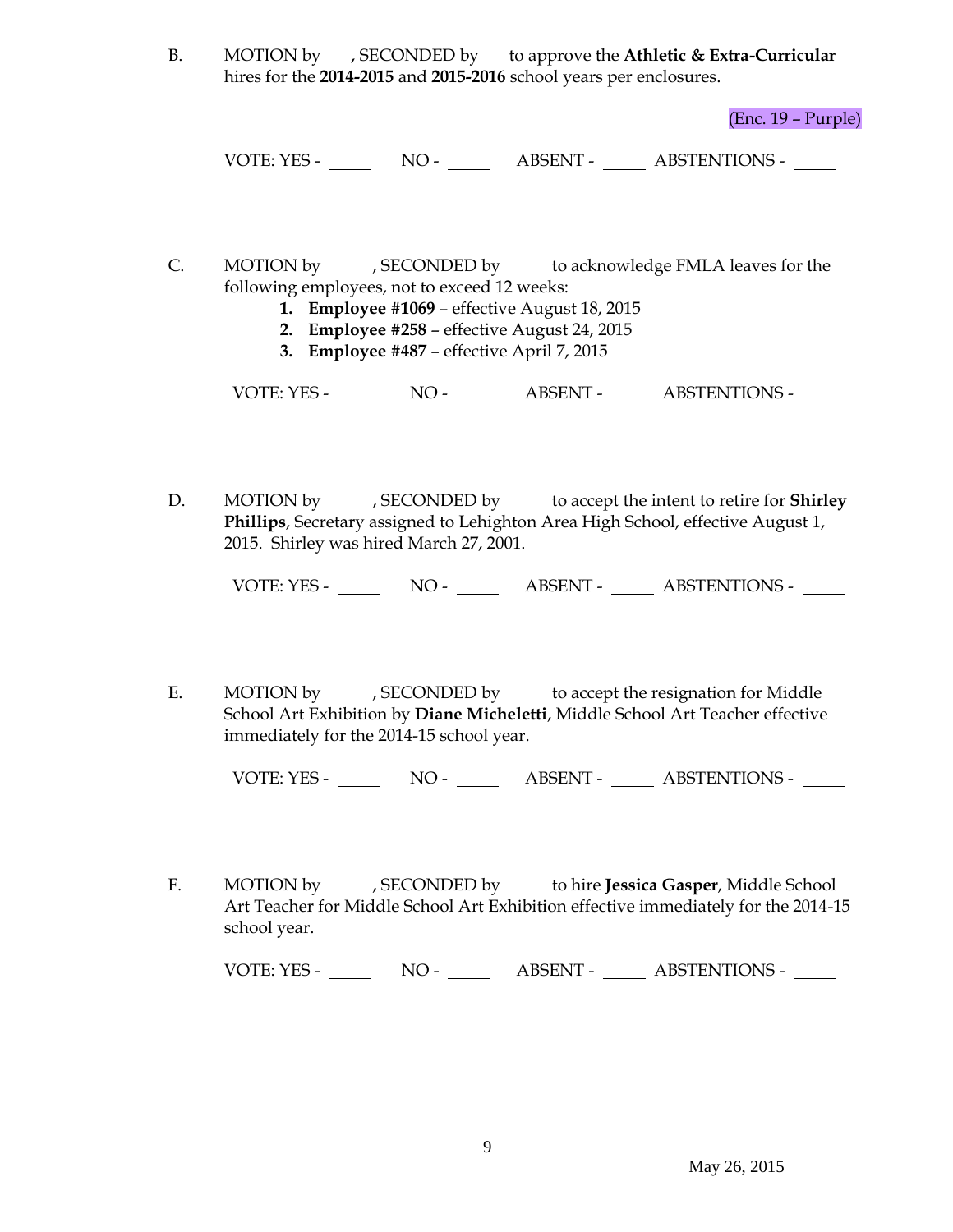B. MOTION by , SECONDED by to approve the **Athletic & Extra-Curricular**  hires for the **2014-2015** and **2015-2016** school years per enclosures.

(Enc. 19 – Purple)

VOTE: YES - NO - NO - ABSENT - ABSTENTIONS - NO

- C. MOTION by , SECONDED by to acknowledge FMLA leaves for the following employees, not to exceed 12 weeks:
	- **1. Employee #1069** effective August 18, 2015
	- **2. Employee #258** effective August 24, 2015
	- **3. Employee #487** effective April 7, 2015

VOTE: YES - NO - ABSENT - ABSTENTIONS -

D. MOTION by , SECONDED by to accept the intent to retire for **Shirley Phillips**, Secretary assigned to Lehighton Area High School, effective August 1, 2015. Shirley was hired March 27, 2001.

VOTE: YES - NO - ABSENT - ABSTENTIONS -

E. MOTION by , SECONDED by to accept the resignation for Middle School Art Exhibition by **Diane Micheletti**, Middle School Art Teacher effective immediately for the 2014-15 school year.

VOTE: YES - NO - NO - ABSENT - ABSTENTIONS -

F. MOTION by , SECONDED by to hire **Jessica Gasper**, Middle School Art Teacher for Middle School Art Exhibition effective immediately for the 2014-15 school year.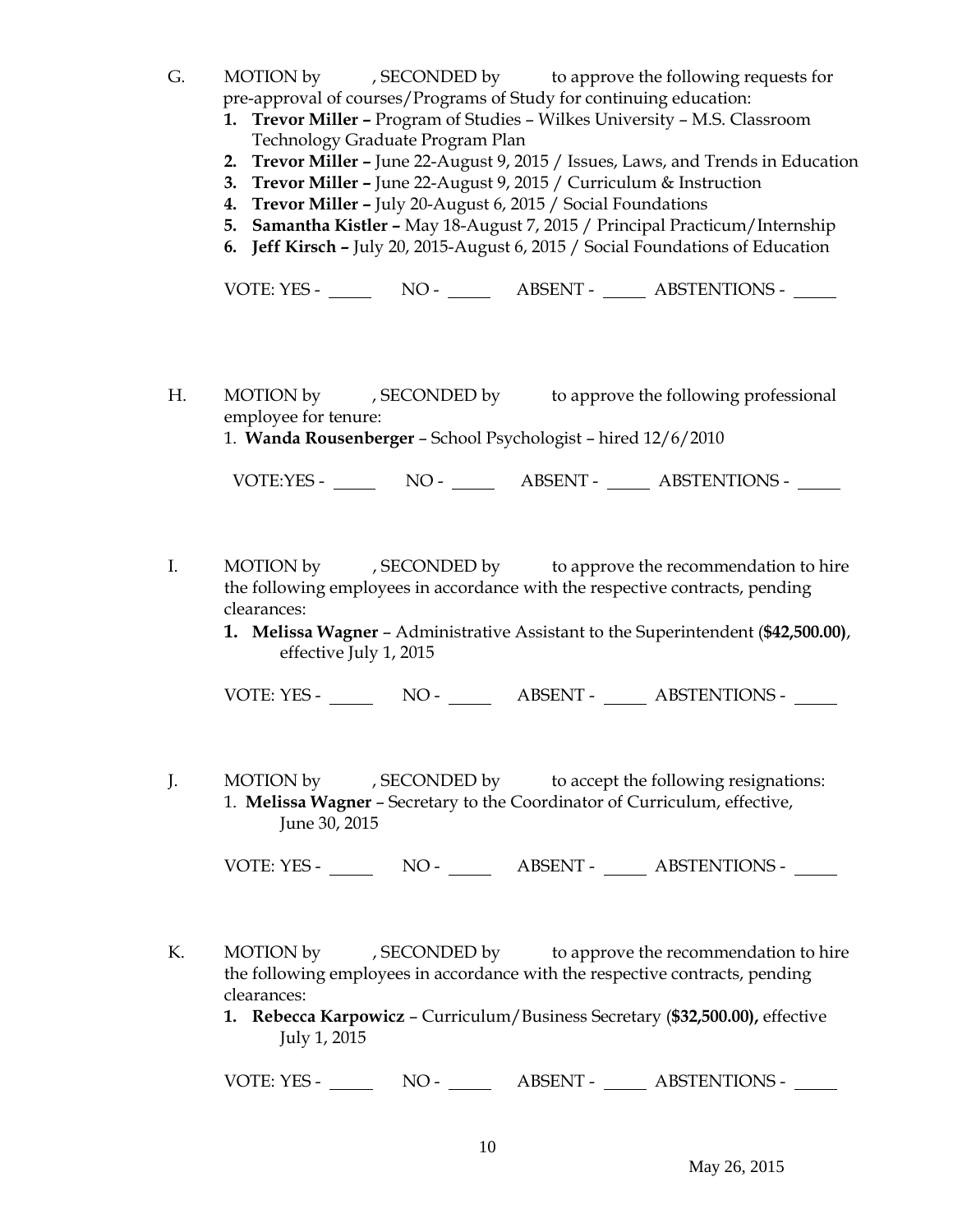- G. MOTION by , SECONDED by to approve the following requests for pre-approval of courses/Programs of Study for continuing education:
	- **1. Trevor Miller –** Program of Studies Wilkes University M.S. Classroom Technology Graduate Program Plan
	- **2. Trevor Miller –** June 22-August 9, 2015 / Issues, Laws, and Trends in Education
	- **3. Trevor Miller –** June 22-August 9, 2015 / Curriculum & Instruction
	- **4. Trevor Miller –** July 20-August 6, 2015 / Social Foundations
	- **5. Samantha Kistler –** May 18-August 7, 2015 / Principal Practicum/Internship
	- **6. Jeff Kirsch –** July 20, 2015-August 6, 2015 / Social Foundations of Education

VOTE: YES - NO - NO - ABSENT - ABSTENTIONS -

- H. MOTION by , SECONDED by to approve the following professional employee for tenure:
	- 1. **Wanda Rousenberger** School Psychologist hired 12/6/2010

VOTE:YES - NO - ABSENT - ABSTENTIONS -

- I. MOTION by , SECONDED by to approve the recommendation to hire the following employees in accordance with the respective contracts, pending clearances:
	- **1. Melissa Wagner**  Administrative Assistant to the Superintendent (**\$42,500.00)**, effective July 1, 2015

VOTE: YES - NO - ABSENT - ABSTENTIONS -

J. MOTION by , SECONDED by to accept the following resignations: 1. **Melissa Wagner** – Secretary to the Coordinator of Curriculum, effective, June 30, 2015

VOTE: YES - NO - NO - ABSENT - ABSTENTIONS -

- K. MOTION by , SECONDED by to approve the recommendation to hire the following employees in accordance with the respective contracts, pending clearances:
	- **1. Rebecca Karpowicz** Curriculum/Business Secretary (**\$32,500.00),** effective July 1, 2015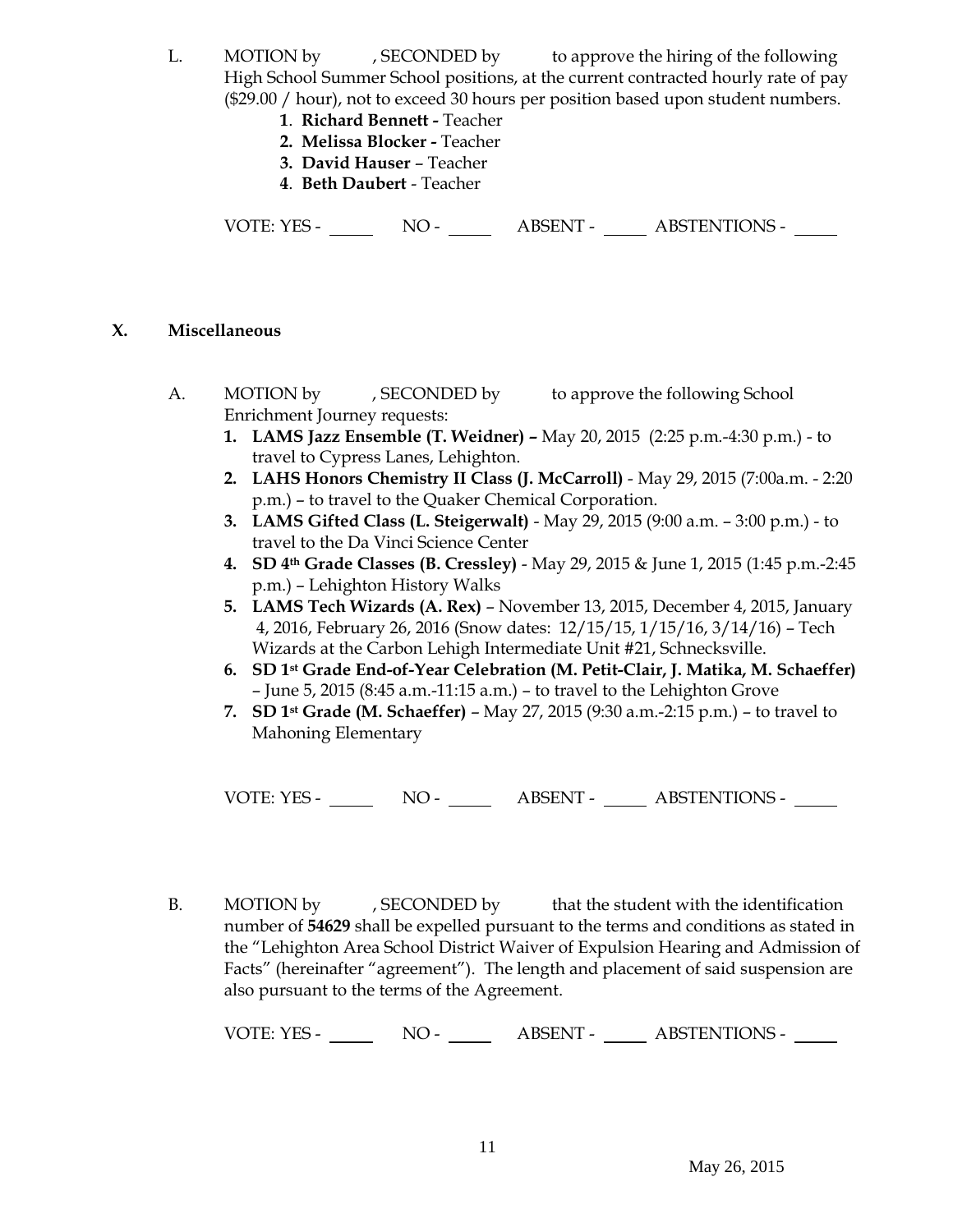- L. MOTION by , SECONDED by to approve the hiring of the following High School Summer School positions, at the current contracted hourly rate of pay (\$29.00 / hour), not to exceed 30 hours per position based upon student numbers.
	- **1**. **Richard Bennett -** Teacher
	- **2. Melissa Blocker -** Teacher
	- **3. David Hauser** Teacher
	- **4**. **Beth Daubert** Teacher

VOTE: YES - NO - NO - ABSENT - ABSTENTIONS -

# **X. Miscellaneous**

- A. MOTION by , SECONDED by to approve the following School Enrichment Journey requests:
	- **1. LAMS Jazz Ensemble (T. Weidner) –** May 20, 2015 (2:25 p.m.-4:30 p.m.) to travel to Cypress Lanes, Lehighton.
	- **2. LAHS Honors Chemistry II Class (J. McCarroll)** May 29, 2015 (7:00a.m. 2:20 p.m.) – to travel to the Quaker Chemical Corporation.
	- **3. LAMS Gifted Class (L. Steigerwalt)** May 29, 2015 (9:00 a.m. 3:00 p.m.) to travel to the Da Vinci Science Center
	- **4. SD 4th Grade Classes (B. Cressley)** May 29, 2015 & June 1, 2015 (1:45 p.m.-2:45 p.m.) – Lehighton History Walks
	- **5. LAMS Tech Wizards (A. Rex)**  November 13, 2015, December 4, 2015, January 4, 2016, February 26, 2016 (Snow dates: 12/15/15, 1/15/16, 3/14/16) – Tech Wizards at the Carbon Lehigh Intermediate Unit #21, Schnecksville.
	- **6. SD 1st Grade End-of-Year Celebration (M. Petit-Clair, J. Matika, M. Schaeffer)** – June 5, 2015 (8:45 a.m.-11:15 a.m.) – to travel to the Lehighton Grove
	- **7. SD 1st Grade (M. Schaeffer)** May 27, 2015 (9:30 a.m.-2:15 p.m.) to travel to Mahoning Elementary

VOTE: YES - NO - NO - ABSENT - ABSTENTIONS -

B. MOTION by , SECONDED by that the student with the identification number of **54629** shall be expelled pursuant to the terms and conditions as stated in the "Lehighton Area School District Waiver of Expulsion Hearing and Admission of Facts" (hereinafter "agreement"). The length and placement of said suspension are also pursuant to the terms of the Agreement.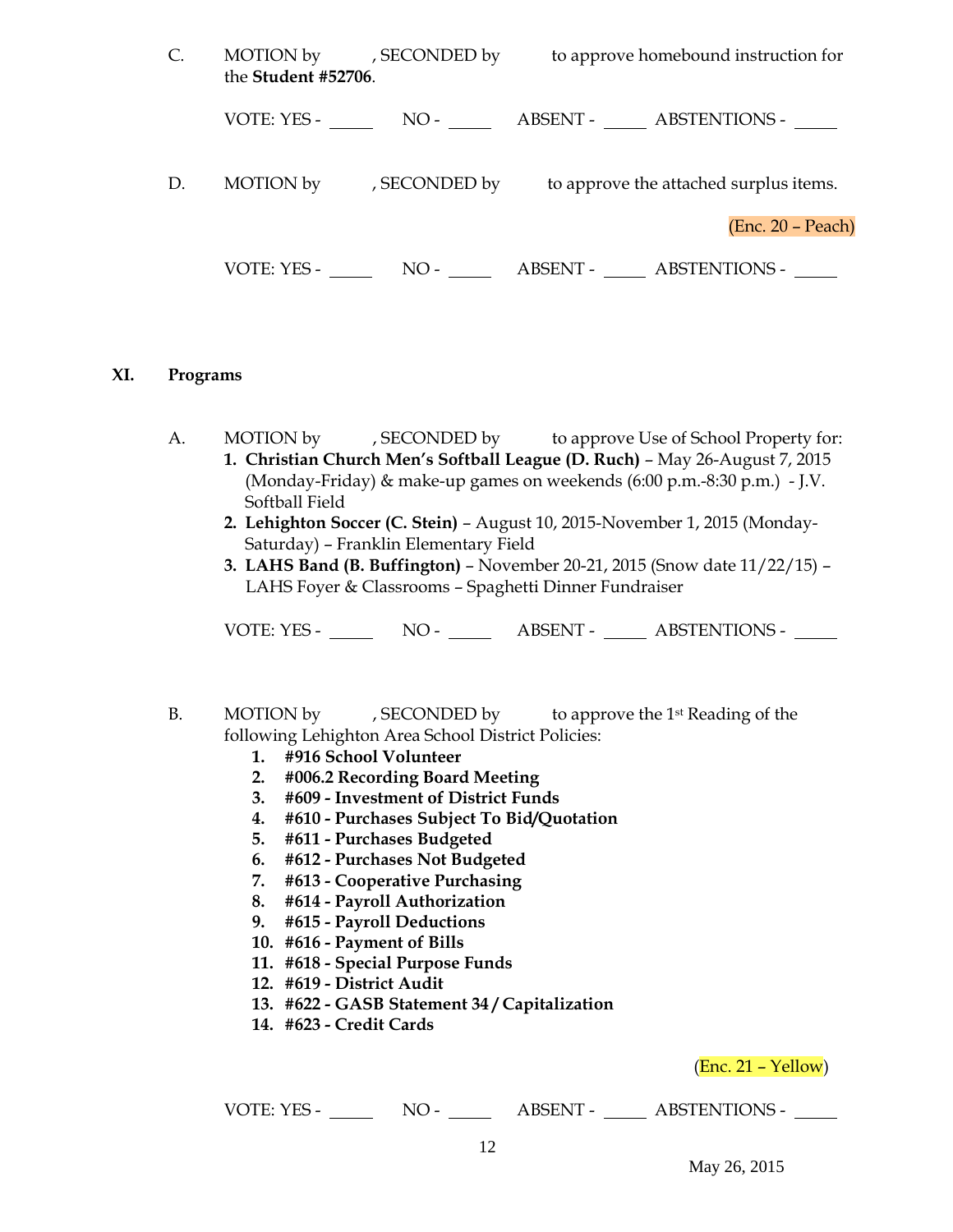| C. | the Student #52706. | MOTION by , SECONDED by | to approve homebound instruction for              |                   |
|----|---------------------|-------------------------|---------------------------------------------------|-------------------|
|    |                     |                         | VOTE: YES - NO - NO - NO - ABSENT - ABSTENTIONS - |                   |
| D. |                     | MOTION by GECONDED by   | to approve the attached surplus items.            |                   |
|    |                     |                         |                                                   | (Enc. 20 – Peach) |
|    |                     |                         | VOTE: YES - NO - ABSENT - ABSTENTIONS -           |                   |

#### **XI. Programs**

A. MOTION by , SECONDED by to approve Use of School Property for: **1. Christian Church Men's Softball League (D. Ruch)** – May 26-August 7, 2015 (Monday-Friday) & make-up games on weekends (6:00 p.m.-8:30 p.m.) - J.V. Softball Field

- **2. Lehighton Soccer (C. Stein)** August 10, 2015-November 1, 2015 (Monday-Saturday) – Franklin Elementary Field
- **3. LAHS Band (B. Buffington)**  November 20-21, 2015 (Snow date 11/22/15) LAHS Foyer & Classrooms – Spaghetti Dinner Fundraiser

VOTE: YES - NO - ABSENT - ABSTENTIONS -

- B. MOTION by , SECONDED by to approve the 1<sup>st</sup> Reading of the following Lehighton Area School District Policies:
	- **1. #916 School Volunteer**
	- **2. #006.2 Recording Board Meeting**
	- **3. #609 - Investment of District Funds**
	- **4. #610 - Purchases Subject To Bid/Quotation**
	- **5. #611 - Purchases Budgeted**
	- **6. #612 - Purchases Not Budgeted**
	- **7. #613 - Cooperative Purchasing**
	- **8. #614 - Payroll Authorization**
	- **9. #615 - Payroll Deductions**
	- **10. #616 - Payment of Bills**
	- **11. #618 - Special Purpose Funds**
	- **12. #619 - District Audit**
	- **13. #622 - GASB Statement 34 / Capitalization**
	- **14. #623 - Credit Cards**

(Enc. 21 – Yellow)